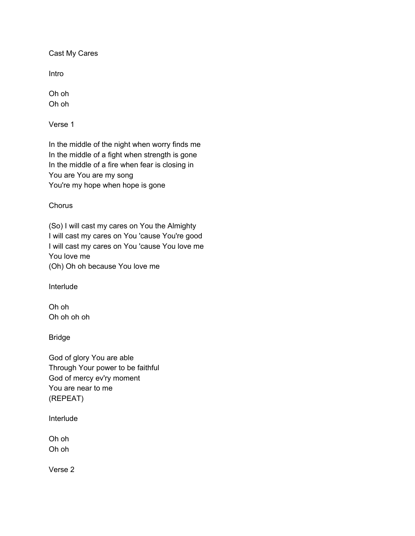Cast My Cares

Intro

Oh oh Oh oh

Verse 1

In the middle of the night when worry finds me In the middle of a fight when strength is gone In the middle of a fire when fear is closing in You are You are my song You're my hope when hope is gone

**Chorus** 

(So) I will cast my cares on You the Almighty I will cast my cares on You 'cause You're good I will cast my cares on You 'cause You love me You love me (Oh) Oh oh because You love me

Interlude

Oh oh Oh oh oh oh

Bridge

God of glory You are able Through Your power to be faithful God of mercy ev'ry moment You are near to me (REPEAT)

Interlude

Oh oh Oh oh

Verse 2